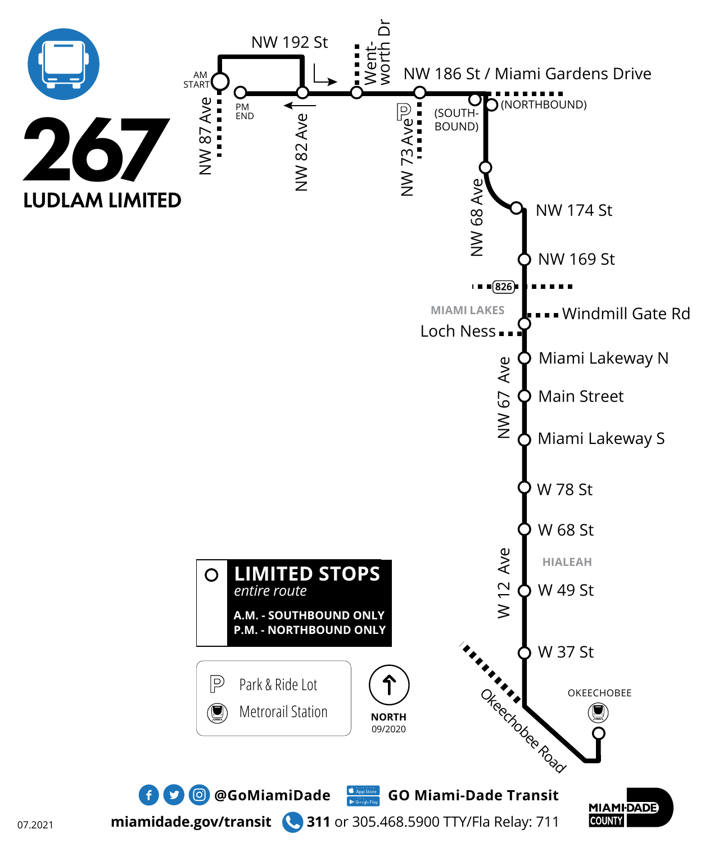